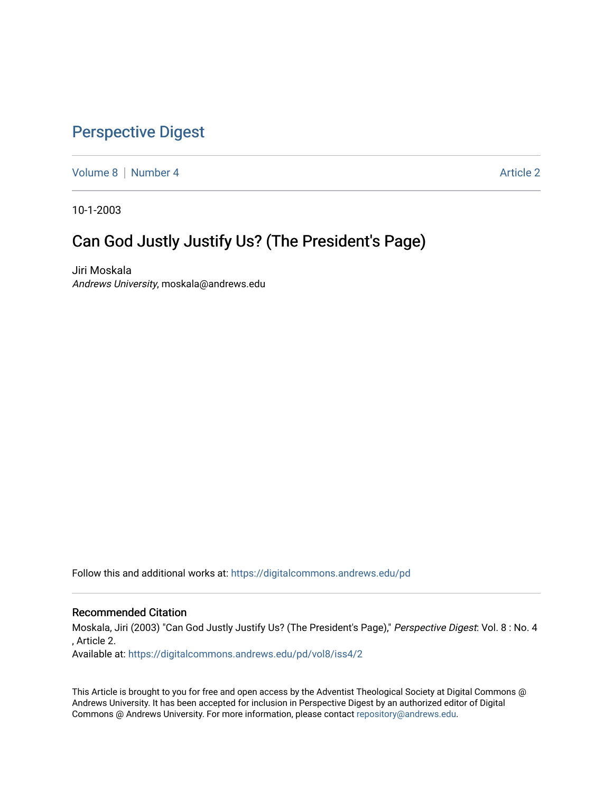## [Perspective Digest](https://digitalcommons.andrews.edu/pd)

[Volume 8](https://digitalcommons.andrews.edu/pd/vol8) | [Number 4](https://digitalcommons.andrews.edu/pd/vol8/iss4) Article 2

10-1-2003

## Can God Justly Justify Us? (The President's Page)

Jiri Moskala Andrews University, moskala@andrews.edu

Follow this and additional works at: [https://digitalcommons.andrews.edu/pd](https://digitalcommons.andrews.edu/pd?utm_source=digitalcommons.andrews.edu%2Fpd%2Fvol8%2Fiss4%2F2&utm_medium=PDF&utm_campaign=PDFCoverPages)

## Recommended Citation

Moskala, Jiri (2003) "Can God Justly Justify Us? (The President's Page)," Perspective Digest: Vol. 8 : No. 4 , Article 2.

Available at: [https://digitalcommons.andrews.edu/pd/vol8/iss4/2](https://digitalcommons.andrews.edu/pd/vol8/iss4/2?utm_source=digitalcommons.andrews.edu%2Fpd%2Fvol8%2Fiss4%2F2&utm_medium=PDF&utm_campaign=PDFCoverPages)

This Article is brought to you for free and open access by the Adventist Theological Society at Digital Commons @ Andrews University. It has been accepted for inclusion in Perspective Digest by an authorized editor of Digital Commons @ Andrews University. For more information, please contact [repository@andrews.edu.](mailto:repository@andrews.edu)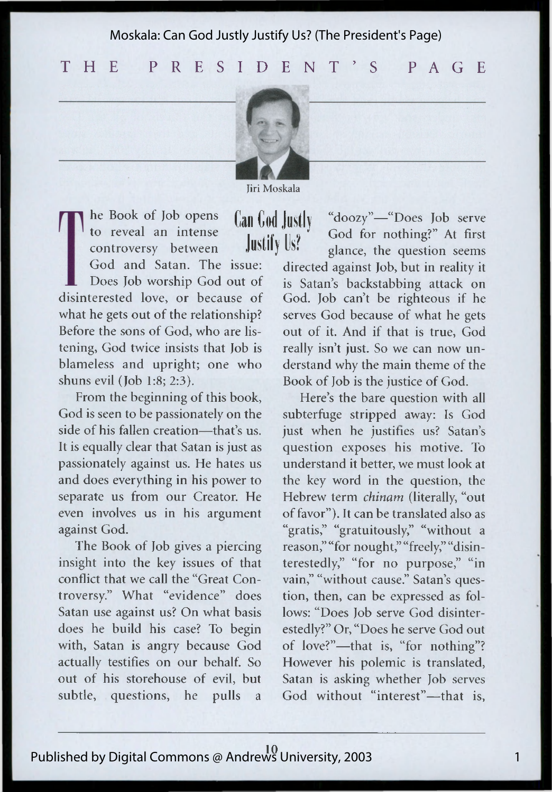Moskala: Can God Justly Justify Us? (The President's Page)

T H E P R E S I D E N T ' S P A G E



Jiri Moskala

he Book of Job opens to reveal an intense controversy between God and Satan. The issue: Does Job worship God out of disinterested love, or because of what he gets out of the relationship? Before the sons of God, who are listening, God twice insists that Job is blameless and upright; one who shuns evil (Job 1:8; 2:3).

From the beginning of this book, God is seen to be passionately on the side of his fallen creation—that's us. It is equally clear that Satan is just as passionately against us. He hates us and does everything in his power to separate us from our Creator. He even involves us in his argument against God.

The Book of Job gives a piercing insight into the key issues of that conflict that we call the "Great Controversy." What "evidence" does Satan use against us? On what basis does he build his case? To begin with, Satan is angry because God actually testifies on our behalf. So out of his storehouse of evil, but subtle, questions, he pulls a

Can God Justly Justify Us?

"doozy"-"Does Job serve God for nothing?" At first glance, the question seems directed against Job, but in reality it is Satan's backstabbing attack on God. Job can't be righteous if he serves God because of what he gets out of it. And if that is true, God really isn't just. So we can now un derstand why the main theme of the Book of Job is the justice of God.

Here's the bare question with all subterfuge stripped away: Is God just when he justifies us? Satan's question exposes his motive. To understand it better, we must look at the key word in the question, the Hebrew term chinam (literally, "out of favor"). It can be translated also as "gratis," "gratuitously," "without a reason," "for nought," "freely," "disinterestedly," "for no purpose," "in vain," "without cause." Satan's ques tion, then, can be expressed as fol lows: "Does Job serve God disinter estedly?" Or, "Does he serve God out of love?"— that is, "for nothing"? However his polemic is translated, Satan is asking whether Job serves God without "interest"—that is,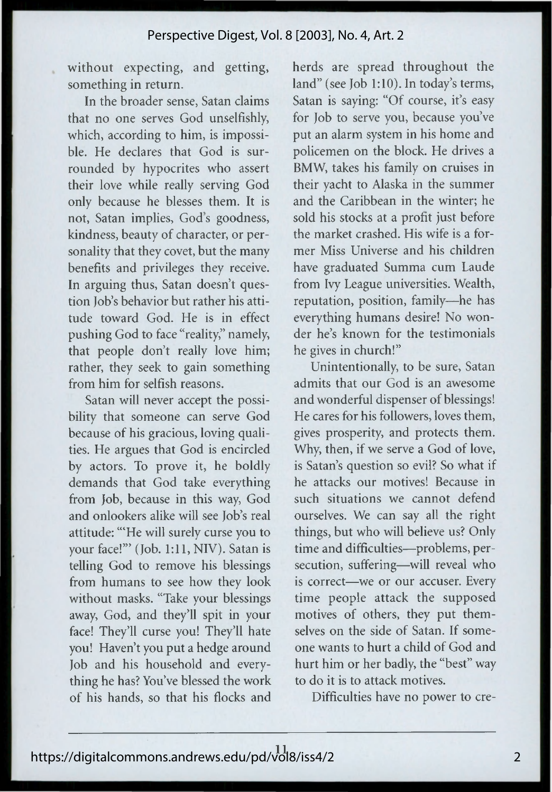without expecting, and getting, something in return.

In the broader sense, Satan claims that no one serves God unselfishly, which, according to him, is impossible. He declares that God is sur rounded by hypocrites who assert their love while really serving God only because he blesses them. It is not, Satan implies, God's goodness, kindness, beauty of character, or personality that they covet, but the many benefits and privileges they receive. In arguing thus, Satan doesn't question Job's behavior but rather his atti tude toward God. He is in effect pushing God to face "reality," namely, that people don't really love him; rather, they seek to gain something from him for selfish reasons.

Satan will never accept the possi bility that someone can serve God because of his gracious, loving qualities. He argues that God is encircled by actors. To prove it, he boldly demands that God take everything from Job, because in this way, God and onlookers alike will see Job's real attitude: "'He will surely curse you to your face!"' (Job. 1:11, NIV). Satan is telling God to remove his blessings from humans to see how they look without masks. "Take your blessings away, God, and they'll spit in your face! They'll curse you! They'll hate you! Haven't you put a hedge around Job and his household and every thing he has? You've blessed the work of his hands, so that his flocks and herds are spread throughout the land" (see Job 1:10). In today's terms, Satan is saying: "Of course, it's easy for Job to serve you, because you've put an alarm system in his home and policemen on the block. He drives a BMW, takes his family on cruises in their yacht to Alaska in the summer and the Caribbean in the winter; he sold his stocks at a profit just before the market crashed. His wife is a for mer Miss Universe and his children have graduated Summa cum Laude from Ivy League universities. Wealth, reputation, position, family— he has everything humans desire! No won der he's known for the testimonials he gives in church!"

Unintentionally, to be sure, Satan admits that our God is an awesome and wonderful dispenser of blessings! He cares for his followers, loves them, gives prosperity, and protects them. Why, then, if we serve a God of love, is Satan's question so evil? So what if he attacks our motives! Because in such situations we cannot defend ourselves. We can say all the right things, but who will believe us? Only time and difficulties— problems, per secution, suffering— will reveal who is correct— we or our accuser. Every time people attack the supposed motives of others, they put themselves on the side of Satan. If someone wants to hurt a child of God and hurt him or her badly, the "best" way to do it is to attack motives.

Difficulties have no power to cre-